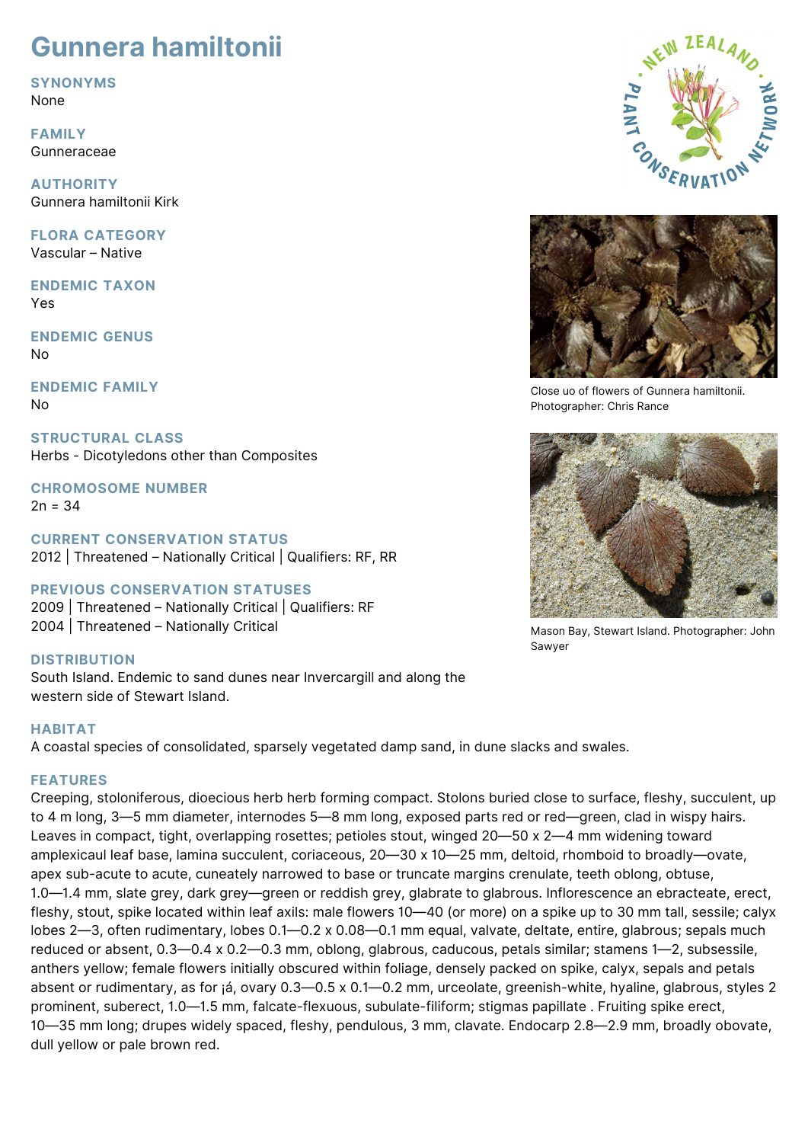# **Gunnera hamiltonii**

**SYNONYMS**

None

**FAMILY** Gunneraceae

**AUTHORITY** Gunnera hamiltonii Kirk

**FLORA CATEGORY** Vascular – Native

**ENDEMIC TAXON** Yes

**ENDEMIC GENUS** No

**ENDEMIC FAMILY** No

**STRUCTURAL CLASS** Herbs - Dicotyledons other than Composites

**CHROMOSOME NUMBER**  $2n = 34$ 

**CURRENT CONSERVATION STATUS** 2012 | Threatened – Nationally Critical | Qualifiers: RF, RR

## **PREVIOUS CONSERVATION STATUSES**

2009 | Threatened – Nationally Critical | Qualifiers: RF 2004 | Threatened – Nationally Critical

## **DISTRIBUTION**

South Island. Endemic to sand dunes near Invercargill and along the western side of Stewart Island.

## **HABITAT**

A coastal species of consolidated, sparsely vegetated damp sand, in dune slacks and swales.

## **FEATURES**

Creeping, stoloniferous, dioecious herb herb forming compact. Stolons buried close to surface, fleshy, succulent, up to 4 m long, 3—5 mm diameter, internodes 5—8 mm long, exposed parts red or red—green, clad in wispy hairs. Leaves in compact, tight, overlapping rosettes; petioles stout, winged 20—50 x 2—4 mm widening toward amplexicaul leaf base, lamina succulent, coriaceous, 20—30 x 10—25 mm, deltoid, rhomboid to broadly—ovate, apex sub-acute to acute, cuneately narrowed to base or truncate margins crenulate, teeth oblong, obtuse, 1.0—1.4 mm, slate grey, dark grey—green or reddish grey, glabrate to glabrous. Inflorescence an ebracteate, erect, fleshy, stout, spike located within leaf axils: male flowers 10—40 (or more) on a spike up to 30 mm tall, sessile; calyx lobes 2—3, often rudimentary, lobes 0.1—0.2 x 0.08—0.1 mm equal, valvate, deltate, entire, glabrous; sepals much reduced or absent, 0.3—0.4 x 0.2—0.3 mm, oblong, glabrous, caducous, petals similar; stamens 1—2, subsessile, anthers yellow; female flowers initially obscured within foliage, densely packed on spike, calyx, sepals and petals absent or rudimentary, as for ¡á, ovary 0.3—0.5 x 0.1—0.2 mm, urceolate, greenish-white, hyaline, glabrous, styles 2 prominent, suberect, 1.0—1.5 mm, falcate-flexuous, subulate-filiform; stigmas papillate . Fruiting spike erect, 10—35 mm long; drupes widely spaced, fleshy, pendulous, 3 mm, clavate. Endocarp 2.8—2.9 mm, broadly obovate, dull yellow or pale brown red.





Close uo of flowers of Gunnera hamiltonii. Photographer: Chris Rance



Mason Bay, Stewart Island. Photographer: John Sawyer